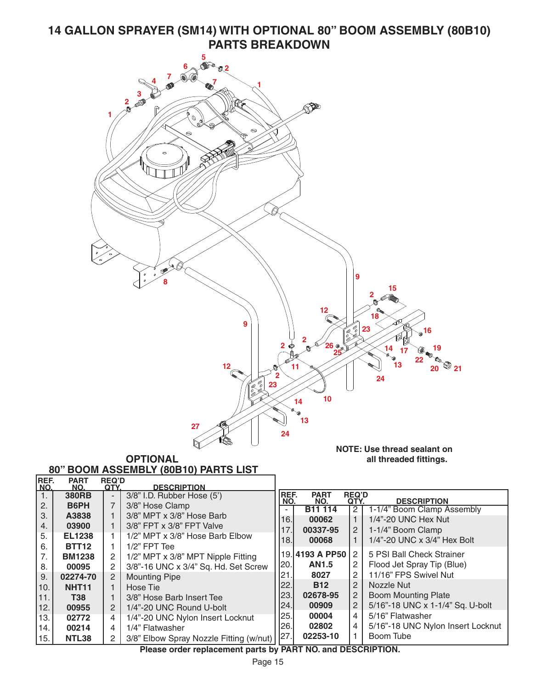## **14 GALLON SPRAYER (SM14) WITH OPTIONAL 80" BOOM ASSEMBLY (80B10) PARTS BREAKDOWN**



| рогп              |                         | <b>JO LIUSE CRITIP</b>                  |                                                                                                                                                                                                                                                  | <b>B11 114</b> | 2 <sup>1</sup>                                                                                         | 1-1/4" Boom Clamp Assembly                                  |
|-------------------|-------------------------|-----------------------------------------|--------------------------------------------------------------------------------------------------------------------------------------------------------------------------------------------------------------------------------------------------|----------------|--------------------------------------------------------------------------------------------------------|-------------------------------------------------------------|
|                   |                         |                                         |                                                                                                                                                                                                                                                  |                |                                                                                                        | 1/4"-20 UNC Hex Nut                                         |
| 03900             |                         |                                         |                                                                                                                                                                                                                                                  |                |                                                                                                        | 1-1/4" Boom Clamp                                           |
| <b>EL1238</b>     |                         | 1/2" MPT x 3/8" Hose Barb Elbow         |                                                                                                                                                                                                                                                  |                |                                                                                                        | 1/4"-20 UNC x 3/4" Hex Bolt                                 |
| <b>BTT12</b>      |                         | $1/2$ " FPT Tee                         |                                                                                                                                                                                                                                                  |                |                                                                                                        |                                                             |
| <b>BM1238</b>     | $\overline{2}$          |                                         |                                                                                                                                                                                                                                                  |                |                                                                                                        | 5 PSI Ball Check Strainer                                   |
| 00095             | 2                       |                                         |                                                                                                                                                                                                                                                  | <b>AN1.5</b>   | $\mathbf{2}^{\circ}$                                                                                   | Flood Jet Spray Tip (Blue)                                  |
| 02274-70          | 2                       |                                         |                                                                                                                                                                                                                                                  | 8027           | $\overline{2}$                                                                                         | 11/16" FPS Swivel Nut                                       |
| NHT <sub>11</sub> |                         | Hose Tie                                |                                                                                                                                                                                                                                                  | <b>B12</b>     | $\overline{2}$                                                                                         | Nozzle Nut                                                  |
| <b>T38</b>        |                         |                                         |                                                                                                                                                                                                                                                  | 02678-95       | 2                                                                                                      | <b>Boom Mounting Plate</b>                                  |
| 00955             | $\mathbf{2}$            | 1/4"-20 UNC Round U-bolt                |                                                                                                                                                                                                                                                  | 00909          | $\overline{2}$                                                                                         | 5/16"-18 UNC x 1-1/4" Sq. U-bolt                            |
|                   |                         |                                         |                                                                                                                                                                                                                                                  | 00004          | 4                                                                                                      | 5/16" Flatwasher                                            |
|                   | 4                       |                                         | 26.                                                                                                                                                                                                                                              | 02802          | 4                                                                                                      | 5/16"-18 UNC Nylon Insert Locknut                           |
| <b>NTL38</b>      | $\overline{2}$          | 3/8" Elbow Spray Nozzle Fitting (w/nut) |                                                                                                                                                                                                                                                  | 02253-10       |                                                                                                        | Boom Tube                                                   |
|                   | A3838<br>02772<br>00214 | 4                                       | 3/8" MPT x 3/8" Hose Barb<br>3/8" FPT x 3/8" FPT Valve<br>1/2" MPT x 3/8" MPT Nipple Fitting<br>3/8"-16 UNC x 3/4" Sq. Hd. Set Screw<br><b>Mounting Pipe</b><br>3/8" Hose Barb Insert Tee<br>1/4"-20 UNC Nylon Insert Locknut<br>1/4" Flatwasher |                | 16.<br>00062<br>17.<br>00337-95<br>18.<br>00068<br> 20.<br>21.<br>22.<br>23.<br> 24. <br> 25. <br> 27. | $\mathbf{2}$<br>19.4193 A PP50 2<br>-------<br>. ---------- |

**Please order replacement parts by PART NO. and DESCRIPTION.**